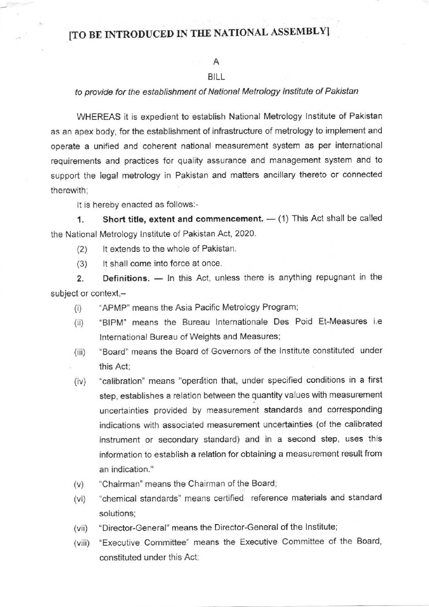## [TO BE INTRODUCED IN THE NATIONAL ASSEMBLY]

## A

## BILL

## to provide for the establishment of National Metrology lnstitute of Pakistan

WHEREAS it is expedient to establish National Metrology Institute of Pakistan as an apex body, for the establishment of infrastructure of metrology to implement and operate a unified and coherent national measurement system as per international requirements and practices for quality assurance and management system and to support the legal metrology in Pakistan and matters ancillary thereto or connected therewith:

It is hereby enacted as follows:-

1. Short title, extent and commencement.  $-$  (1) This Act shall be called the National Metrology lnstitute of Pakistan Act, 2020.

(2) lt extends to the whole of Pakistan.

(3) lt shall come into force at once.

2. Definitions. — In this Act, unless there is anything repugnant in the subject or context,-

- (i) "APMP" means the Asia Pacific Metrology Program;
- (ii) "BIPM" means the Bureau Internationale Des Poid Et-Measures i.e lnternational Bureau of Weights and Measures;
- (iii) "Board" means the Board of Governors of the Institute constituted under this Act;
- (iv) "calibration" means "operation that, under specified conditions in a first step, establishes a relation between the quantity values with measurement uncertainties provided by measurement standards and corresponding indications with assocjated measurement uncertainties (of the calibrated instrument or secondary standard) and in a second step, uses this information to establish a relation for obtaining a measurement result from an indication."
- (v) "Chairman" means the Chairman of the Board;
- (vi) "chemical standards" means certified reference materials and standard solutions;
- (vii) "Director-General" means the Director-General of the Institute;
- (viii) "Executive Committee" means the Executive Committee of the Board, constituted under this Act: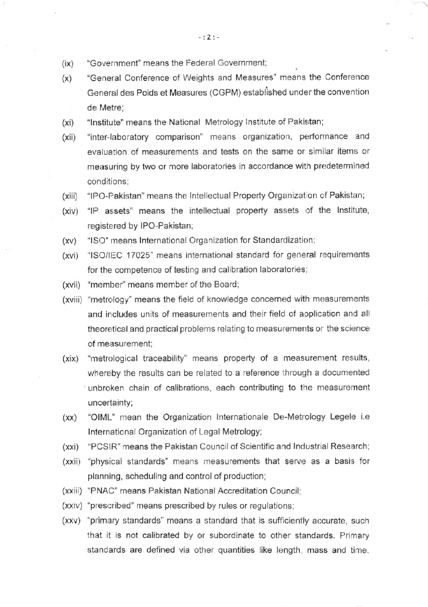- $(ix)$ "Governmont" means the Federal Governmenl;
- (x) "General Conference of Weights and Measures" means the Conference General des Poids et Measures (CGPM) established under the convention de Metre;
- (xi) "lnstitute' means the National Metrology lnstitute of Pakistan;
- (xii) "inter-laboratory comparison" means organization, performance and evaluation of measurements and tests on the same or similar items or measuring by two or more laboratories in accordance with predetermined conditions;
- (xiii) "IPO-Pakistan" means the Intellectual Property Organization of Pakistan;
- (xiv) "IP assets" means the intellectual property assets of the Institute, registered by IPO-Pakistan;
- (xv) "lSO" means lnternational Organization for Standardization;
- (xvi) "lSO/lEC '17025' means international standard for general requirements for the competence of testing and calibration laboratories;
- (xvii) "member" means member of the Board;
- (xviii) "metrology" means the field of knowledge concerned with measurements and includes units of measurements and their field of aoplication and all theoretical and practical problems relating to measurements or the science of measurement:
- (xix) "metrological traceability" means property of a measurement results, whereby the results can be related to a reference through a documented unbroken chain of calibrations, each contributing to the measurement uncertainty;
- $(xx)$ 'OIML' mean the organization lnternationale De-Metrology Legele i.e International Organization of Legal Metrology;
- (xxi) "PCSIR" means the Pakistan Council of Scientific and Industrial Research
- (xxii) "physical standards'means measurements that serve as a basis for planning, scheduling and control of production;
- (xxiii) "PNAC" means Pakistan National Accreditation Council;
- (xxiv) "prescribed" means prescribed by rules or regulations;
- (xxv) 'primary standards" means a standard that is sufficiently accurate, such that it is not calibrated by or subordinate to other standards. Primary standards are defined via other quantities like length, mass and time.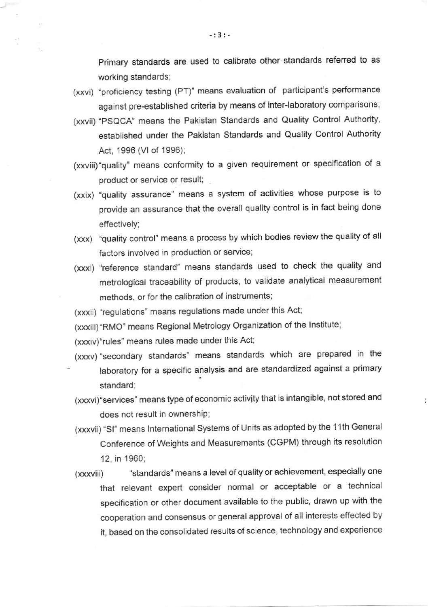Primary standards are used to calibrate other standards referred to as working standards;

- (xxvi) 'proficiency testing (PT)" means evaluation of participant's performance against pre-established criteria by means of inter-laboratory comparisons;
- (xxvii) "PSQCA" means the Pakistan Standards and Quality Control Authority, established under the Pakistan Standards and Quality Control Authority Acr, 1996 (Vl of 1996);
- (xxviii) "quality" means conformity to a given requirement or specification of a product or service or resull;
- (xxix) 'quality assurance" means a system of activities whose purpose is to provide an assurance that the overall quality control is in fact being done effectively;
- (xxx) 'quality control" means a process by which bodies review the quality of all factors involved in production or service;
- (xxxi) "reference standard" means standards used to check the quality and metrological traceability of products, to validate analytical measurement methods, or for the calibration of instruments;

(xxxii) "regulations' means regulations made under this Act;

(xxxiii)"RMO" means Regional Metrology Organization of the lnstitute;

(xxxiv)"rules" means rules made under this Act;

- (xxxv) "secondary standards" means standards which are prepared in the laboratory for a specific analysis and are standardized against a primary standard;
- (xxxvi)"services' means type ofeconomic activity that is intangible, not stored and does not result in ownership;
- (xxxvii) "SI" means International Systems of Units as adopted by the 11th General Conference of Weights and Measurements (CGPM) through its resolution 12, in 1960;
- (xxxviii) "standards" means a level of quality or achievement, especially one that relevant expert consider normal or acceptable or a technical specification or other document available to the public, drawn up with the cooperation and consensus or general approval of all interests effected by it, based on the consolidated results of science, technology and experience

-:3:-

 $\overline{\mathbf{X}}$